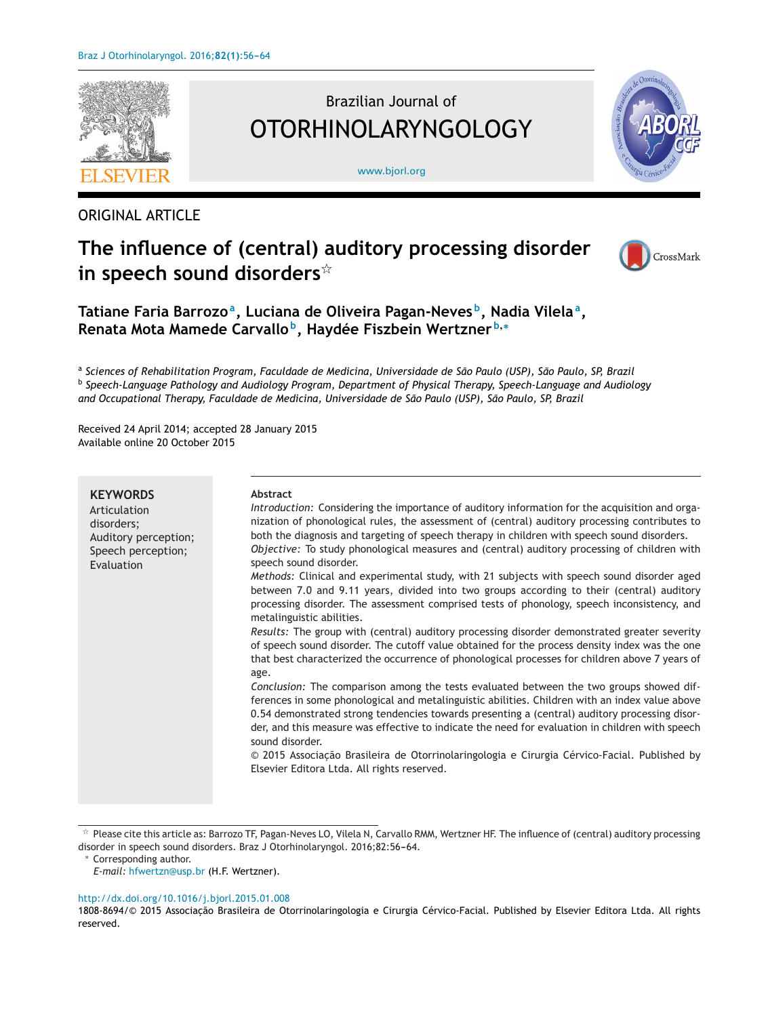

ORIGINAL ARTICLE

# Brazilian Journal of OTORHINOLARYNGOLOGY

[www.bjorl.org](http://www.bjorl.org)



## **The influence of (central) auditory processing disorder in speech sound disorders**-



**Tatiane Faria Barrozoa, Luciana de Oliveira Pagan-Neves b, Nadia Vilelaa, Renata Mota Mamede Carvallo b, Haydée Fiszbein Wertzner <sup>b</sup>,<sup>∗</sup>**

a Sciences of Rehabilitation Program, Faculdade de Medicina, Universidade de São Paulo (USP), São Paulo, SP, Brazil <sup>b</sup> *Speech-Language Pathology and Audiology Program, Department of Physical Therapy, Speech-Language and Audiology and Occupational Therapy, Faculdade de Medicina, Universidade de São Paulo (USP), São Paulo, SP, Brazil*

Received 24 April 2014; accepted 28 January 2015 Available online 20 October 2015

| <b>KEYWORDS</b><br>Articulation<br>disorders;<br>Auditory perception;<br>Speech perception;<br>Evaluation | Abstract<br>Introduction: Considering the importance of auditory information for the acquisition and orga-<br>nization of phonological rules, the assessment of (central) auditory processing contributes to<br>both the diagnosis and targeting of speech therapy in children with speech sound disorders.<br>Objective: To study phonological measures and (central) auditory processing of children with<br>speech sound disorder.<br>Methods: Clinical and experimental study, with 21 subjects with speech sound disorder aged<br>between 7.0 and 9.11 years, divided into two groups according to their (central) auditory<br>processing disorder. The assessment comprised tests of phonology, speech inconsistency, and<br>metalinguistic abilities.<br>Results: The group with (central) auditory processing disorder demonstrated greater severity<br>of speech sound disorder. The cutoff value obtained for the process density index was the one<br>that best characterized the occurrence of phonological processes for children above 7 years of<br>age.<br>Conclusion: The comparison among the tests evaluated between the two groups showed dif-<br>ferences in some phonological and metalinguistic abilities. Children with an index value above<br>0.54 demonstrated strong tendencies towards presenting a (central) auditory processing disor-<br>der, and this measure was effective to indicate the need for evaluation in children with speech<br>sound disorder.<br>© 2015 Associação Brasileira de Otorrinolaringologia e Cirurgia Cérvico-Facial. Published by<br>Elsevier Editora Ltda. All rights reserved. |
|-----------------------------------------------------------------------------------------------------------|--------------------------------------------------------------------------------------------------------------------------------------------------------------------------------------------------------------------------------------------------------------------------------------------------------------------------------------------------------------------------------------------------------------------------------------------------------------------------------------------------------------------------------------------------------------------------------------------------------------------------------------------------------------------------------------------------------------------------------------------------------------------------------------------------------------------------------------------------------------------------------------------------------------------------------------------------------------------------------------------------------------------------------------------------------------------------------------------------------------------------------------------------------------------------------------------------------------------------------------------------------------------------------------------------------------------------------------------------------------------------------------------------------------------------------------------------------------------------------------------------------------------------------------------------------------------------------------------------------------------------------------------|
|                                                                                                           |                                                                                                                                                                                                                                                                                                                                                                                                                                                                                                                                                                                                                                                                                                                                                                                                                                                                                                                                                                                                                                                                                                                                                                                                                                                                                                                                                                                                                                                                                                                                                                                                                                            |

 $*$  Please cite this article as: Barrozo TF, Pagan-Neves LO, Vilela N, Carvallo RMM, Wertzner HF. The influence of (central) auditory processing disorder in speech sound disorders. Braz J Otorhinolaryngol. 2016;82:56-64.

#### [http://dx.doi.org/10.1016/j.bjorl.2015.01.008](dx.doi.org/10.1016/j.bjorl.2015.01.008)

Corresponding author.

*E-mail:* [hfwertzn@usp.br](mailto:hfwertzn@usp.br) (H.F. Wertzner).

<sup>1808-8694/© 2015</sup> Associacão Brasileira de Otorrinolaringologia e Cirurgia Cérvico-Facial. Published by Elsevier Editora Ltda. All rights reserved.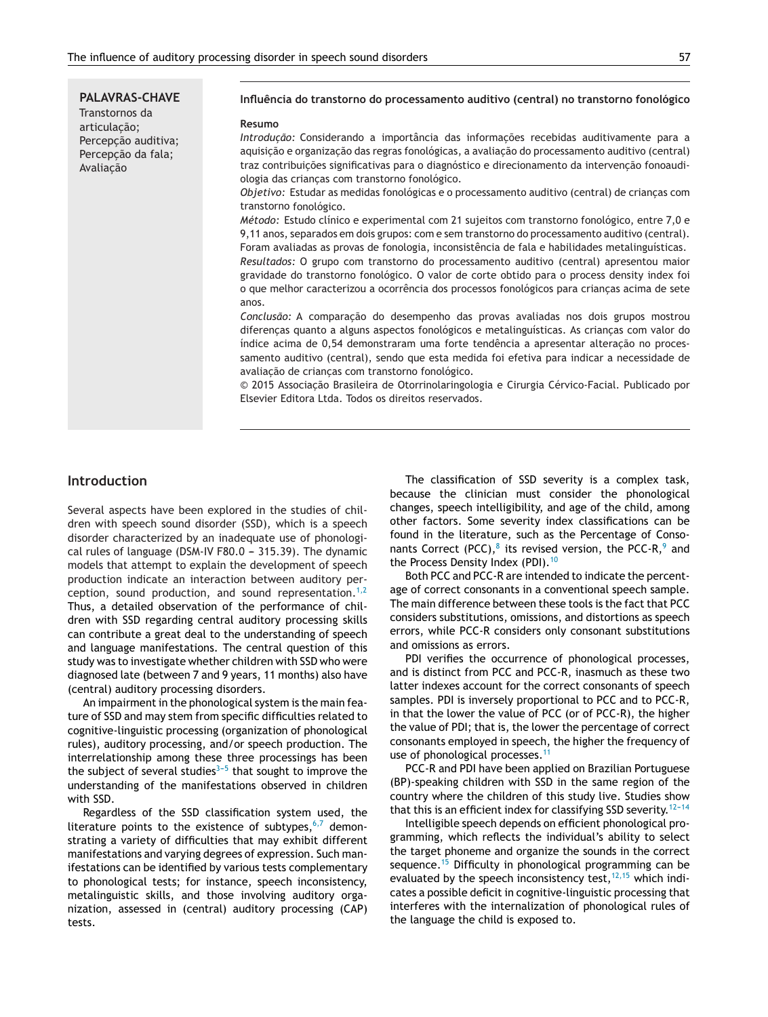

## **Introduction**

Several aspects have been explored in the studies of children with speech sound disorder (SSD), which is a speech disorder characterized by an inadequate use of phonological rules of language (DSM-IV F80.0 - 315.39). The dynamic models that attempt to explain the development of speech production indicate an interaction between auditory per-ception, sound production, and sound representation.<sup>[1,2](#page-7-0)</sup> Thus, a detailed observation of the performance of children with SSD regarding central auditory processing skills can contribute a great deal to the understanding of speech and language manifestations. The central question of this study was to investigate whether children with SSD who were diagnosed late (between 7 and 9 years, 11 months) also have (central) auditory processing disorders.

An impairment in the phonological system is the main feature of SSD and may stem from specific difficulties related to cognitive-linguistic processing (organization of phonological rules), auditory processing, and/or speech production. The interrelationship among these three processings has been the subject of several studies $3-5$  that sought to improve the understanding of the manifestations observed in children with SSD.

Regardless of the SSD classification system used, the literature points to the existence of subtypes,  $6,7$  demonstrating a variety of difficulties that may exhibit different manifestations and varying degrees of expression. Such manifestations can be identified by various tests complementary to phonological tests; for instance, speech inconsistency, metalinguistic skills, and those involving auditory organization, assessed in (central) auditory processing (CAP) tests.

The classification of SSD severity is a complex task, because the clinician must consider the phonological changes, speech intelligibility, and age of the child, among other factors. Some severity index classifications can be found in the literature, such as the Percentage of Consonants Correct (PCC), $8$  its revised version, the PCC-R, $9$  and the Process Density Index (PDI).<sup>[10](#page-8-0)</sup>

Both PCC and PCC-R are intended to indicate the percentage of correct consonants in a conventional speech sample. The main difference between these tools is the fact that PCC considers substitutions, omissions, and distortions as speech errors, while PCC-R considers only consonant substitutions and omissions as errors.

PDI verifies the occurrence of phonological processes, and is distinct from PCC and PCC-R, inasmuch as these two latter indexes account for the correct consonants of speech samples. PDI is inversely proportional to PCC and to PCC-R, in that the lower the value of PCC (or of PCC-R), the higher the value of PDI; that is, the lower the percentage of correct consonants employed in speech, the higher the frequency of use of phonological processes.<sup>[11](#page-8-0)</sup>

PCC-R and PDI have been applied on Brazilian Portuguese (BP)-speaking children with SSD in the same region of the country where the children of this study live. Studies show that this is an efficient index for classifying SSD severity.<sup>12-14</sup>

Intelligible speech depends on efficient phonological programming, which reflects the individual's ability to select the target phoneme and organize the sounds in the correct sequence.<sup>[15](#page-8-0)</sup> Difficulty in phonological programming can be evaluated by the speech inconsistency test, $12,15$  which indicates a possible deficit in cognitive-linguistic processing that interferes with the internalization of phonological rules of the language the child is exposed to.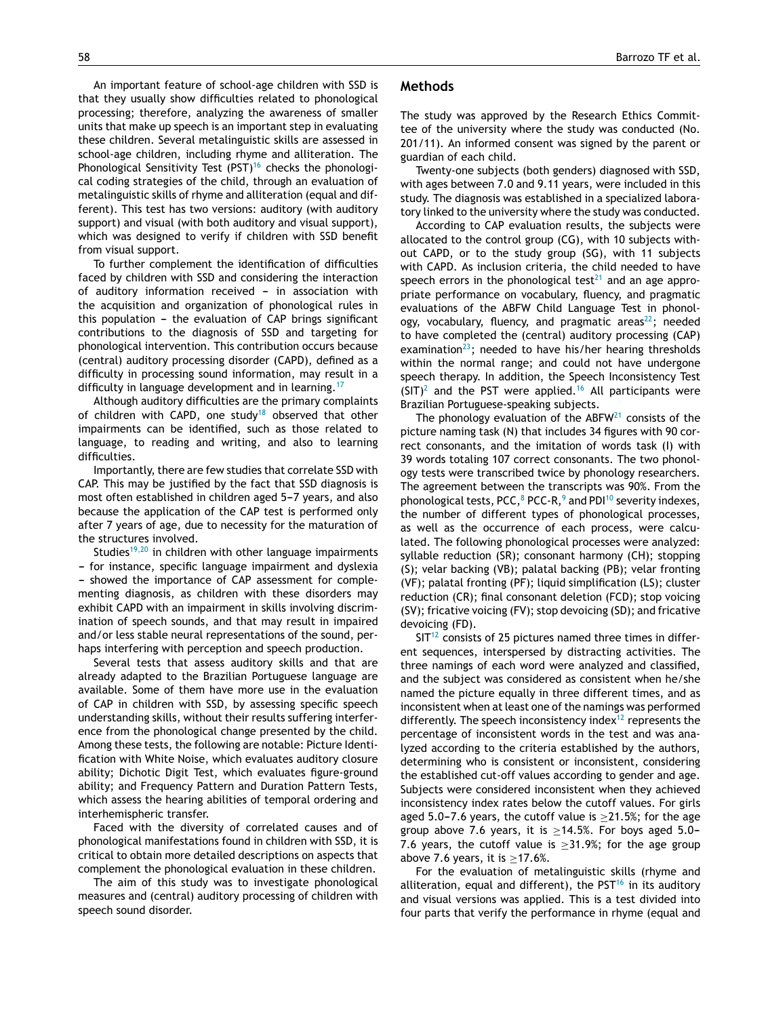An important feature of school-age children with SSD is that they usually show difficulties related to phonological processing; therefore, analyzing the awareness of smaller units that make up speech is an important step in evaluating these children. Several metalinguistic skills are assessed in school-age children, including rhyme and alliteration. The Phonological Sensitivity Test (PST)<sup>[16](#page-8-0)</sup> checks the phonological coding strategies of the child, through an evaluation of metalinguistic skills of rhyme and alliteration (equal and different). This test has two versions: auditory (with auditory support) and visual (with both auditory and visual support), which was designed to verify if children with SSD benefit from visual support.

To further complement the identification of difficulties faced by children with SSD and considering the interaction of auditory information received  $-$  in association with the acquisition and organization of phonological rules in this population  $-$  the evaluation of CAP brings significant contributions to the diagnosis of SSD and targeting for phonological intervention. This contribution occurs because (central) auditory processing disorder (CAPD), defined as a difficulty in processing sound information, may result in a difficulty in language development and in learning.<sup>[17](#page-8-0)</sup>

Although auditory difficulties are the primary complaints of children with CAPD, one study<sup>[18](#page-8-0)</sup> observed that other impairments can be identified, such as those related to language, to reading and writing, and also to learning difficulties.

Importantly, there are few studies that correlate SSD with CAP. This may be justified by the fact that SSD diagnosis is most often established in children aged 5-7 years, and also because the application of the CAP test is performed only after 7 years of age, due to necessity for the maturation of the structures involved.

Studies $19,20$  in children with other language impairments - for instance, specific language impairment and dyslexia - showed the importance of CAP assessment for complementing diagnosis, as children with these disorders may exhibit CAPD with an impairment in skills involving discrimination of speech sounds, and that may result in impaired and/or less stable neural representations of the sound, perhaps interfering with perception and speech production.

Several tests that assess auditory skills and that are already adapted to the Brazilian Portuguese language are available. Some of them have more use in the evaluation of CAP in children with SSD, by assessing specific speech understanding skills, without their results suffering interference from the phonological change presented by the child. Among these tests, the following are notable: Picture Identification with White Noise, which evaluates auditory closure ability; Dichotic Digit Test, which evaluates figure-ground ability; and Frequency Pattern and Duration Pattern Tests, which assess the hearing abilities of temporal ordering and interhemispheric transfer.

Faced with the diversity of correlated causes and of phonological manifestations found in children with SSD, it is critical to obtain more detailed descriptions on aspects that complement the phonological evaluation in these children.

The aim of this study was to investigate phonological measures and (central) auditory processing of children with speech sound disorder.

#### **Methods**

The study was approved by the Research Ethics Committee of the university where the study was conducted (No. 201/11). An informed consent was signed by the parent or guardian of each child.

Twenty-one subjects (both genders) diagnosed with SSD, with ages between 7.0 and 9.11 years, were included in this study. The diagnosis was established in a specialized laboratory linked to the university where the study was conducted.

According to CAP evaluation results, the subjects were allocated to the control group (CG), with 10 subjects without CAPD, or to the study group (SG), with 11 subjects with CAPD. As inclusion criteria, the child needed to have speech errors in the phonological test<sup>[21](#page-8-0)</sup> and an age appropriate performance on vocabulary, fluency, and pragmatic evaluations of the ABFW Child Language Test in phonology, vocabulary, fluency, and pragmatic areas<sup>22</sup>; needed to have completed the (central) auditory processing (CAP) examination<sup>23</sup>; needed to have his/her hearing thresholds within the normal range; and could not have undergone speech therapy. In addition, the Speech Inconsistency Test  $(SIT)^2$  $(SIT)^2$  and the PST were applied.<sup>[16](#page-8-0)</sup> All participants were Brazilian Portuguese-speaking subjects.

The phonology evaluation of the  $ABFW<sup>21</sup>$  $ABFW<sup>21</sup>$  $ABFW<sup>21</sup>$  consists of the picture naming task (N) that includes 34 figures with 90 correct consonants, and the imitation of words task (I) with 39 words totaling 107 correct consonants. The two phonology tests were transcribed twice by phonology researchers. The agreement between the transcripts was 90%. From the phonological tests, [P](#page-7-0)CC, $8$  PCC-R, $9$  [a](#page-8-0)nd PDI<sup>[10](#page-8-0)</sup> severity indexes, the number of different types of phonological processes, as well as the occurrence of each process, were calculated. The following phonological processes were analyzed: syllable reduction (SR); consonant harmony (CH); stopping (S); velar backing (VB); palatal backing (PB); velar fronting (VF); palatal fronting (PF); liquid simplification (LS); cluster reduction (CR); final consonant deletion (FCD); stop voicing (SV); fricative voicing (FV); stop devoicing (SD); and fricative devoicing (FD).

 $SIT<sup>12</sup>$  $SIT<sup>12</sup>$  $SIT<sup>12</sup>$  consists of 25 pictures named three times in different sequences, interspersed by distracting activities. The three namings of each word were analyzed and classified, and the subject was considered as consistent when he/she named the picture equally in three different times, and as inconsistent when at least one of the namings was performed differently. The speech inconsistency index $12$  represents the percentage of inconsistent words in the test and was analyzed according to the criteria established by the authors, determining who is consistent or inconsistent, considering the established cut-off values according to gender and age. Subjects were considered inconsistent when they achieved inconsistency index rates below the cutoff values. For girls aged 5.0-7.6 years, the cutoff value is  $\geq$ 21.5%; for the age group above 7.6 years, it is  $\geq$ 14.5%. For boys aged 5.0-7.6 years, the cutoff value is  $\geq$ 31.9%; for the age group above 7.6 years, it is  $\geq$ 17.6%.

For the evaluation of metalinguistic skills (rhyme and alliteration, equal and different), the  $PST^{16}$  $PST^{16}$  $PST^{16}$  in its auditory and visual versions was applied. This is a test divided into four parts that verify the performance in rhyme (equal and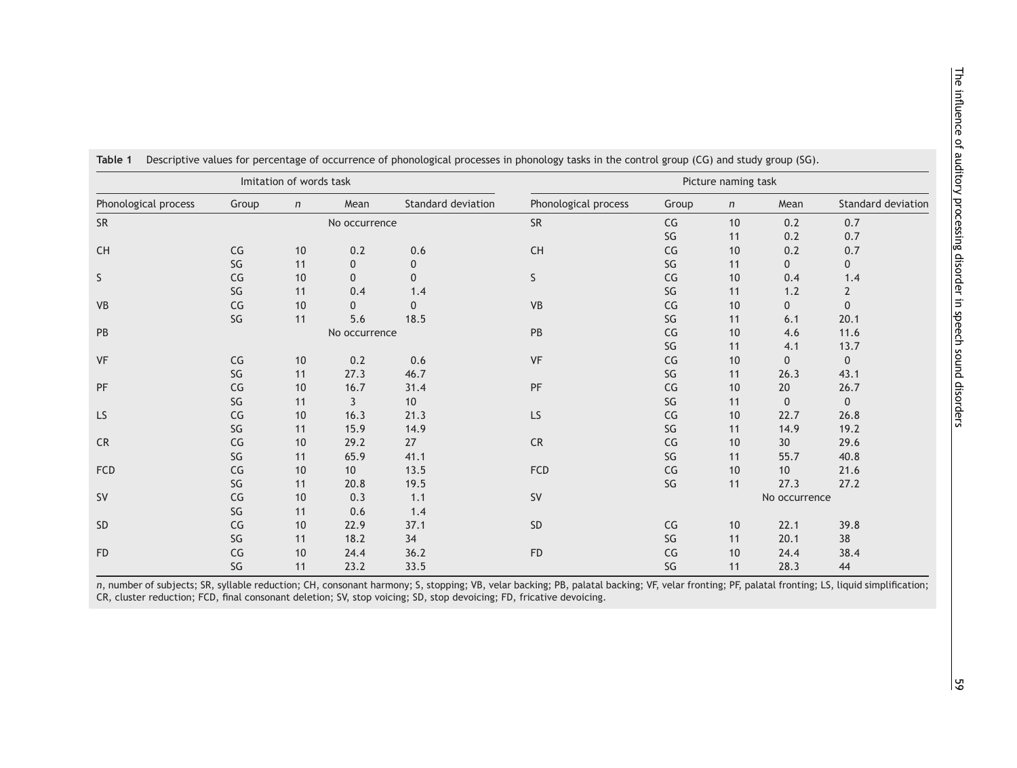|                                          | Imitation of words task |            |               | Picture naming task |                                          |                        |              |               |                    |
|------------------------------------------|-------------------------|------------|---------------|---------------------|------------------------------------------|------------------------|--------------|---------------|--------------------|
| Phonological process                     | Group                   | $\sqrt{n}$ | Mean          | Standard deviation  | Phonological process                     | Group                  | $\mathsf{n}$ | Mean          | Standard deviation |
| SR                                       |                         |            | No occurrence |                     | SR                                       | $\mathsf{CG}\xspace$   | 10           | 0.2           | 0.7                |
|                                          |                         |            |               |                     |                                          | $\mathsf{SG}\xspace$   | 11           | 0.2           | 0.7                |
| $\mathsf{CH}% \left( \mathcal{M}\right)$ | $\mathsf{CG}\xspace$    | $10$       | 0.2           | 0.6                 | $\mathsf{CH}% \left( \mathcal{M}\right)$ | $\mathsf{CG}\xspace$   | $10$         | 0.2           | 0.7                |
|                                          | $\mathsf{SG}$           | 11         | 0             | 0                   |                                          | SG                     | 11           | $\mathbf 0$   | $\overline{0}$     |
| S                                        | $\mathsf{CG}\xspace$    | $10$       | $\mathbf{0}$  | $\pmb{0}$           | S                                        | $\mathsf{CG}\xspace$   | 10           | 0.4           | 1.4                |
|                                          | $\mathsf{SG}$           | 11         | 0.4           | 1.4                 |                                          | $\mathsf{SG}$          | 11           | $1.2$         | $\mathbf{2}$       |
| $\mathsf{VB}$                            | $\mathsf{CG}\xspace$    | $10$       | $\Omega$      | $\Omega$            | VB                                       | $\mathsf{C}\mathsf{G}$ | 10           | $\pmb{0}$     | $\mathbf 0$        |
|                                          | SG                      | 11         | 5.6           | 18.5                |                                          | SG                     | 11           | 6.1           | 20.1               |
| PB                                       |                         |            | No occurrence |                     | PB                                       | $\mathsf{CG}\xspace$   | 10           | 4.6           | 11.6               |
|                                          |                         |            |               |                     |                                          | SG                     | 11           | 4.1           | 13.7               |
| VF                                       | CG                      | 10         | 0.2           | 0.6                 | VF                                       | $\mathsf{CG}\xspace$   | 10           | $\mathbf{0}$  | $\mathbf{0}$       |
|                                          | $\mathsf{SG}$           | 11         | 27.3          | 46.7                |                                          | SG                     | 11           | 26.3          | 43.1               |
| PF                                       | $\mathsf{CG}\xspace$    | $10$       | 16.7          | 31.4                | $\ensuremath{\mathsf{PF}}$               | $\mathsf{CG}\xspace$   | 10           | $20\,$        | 26.7               |
|                                          | SG                      | 11         | 3             | 10                  |                                          | $\mathsf{SG}$          | 11           | $\mathbf 0$   | $\mathbf 0$        |
| LS                                       | $\mathsf{CG}\xspace$    | $10$       | 16.3          | 21.3                | LS                                       | $\mathsf{CG}\xspace$   | 10           | 22.7          | 26.8               |
|                                          | $\mathsf{SG}$           | 11         | 15.9          | 14.9                |                                          | $\mathsf{SG}\xspace$   | 11           | 14.9          | 19.2               |
| ${\sf CR}$                               | $\mathsf{CG}\xspace$    | $10$       | 29.2          | 27                  | ${\sf CR}$                               | $\mathsf{CG}\xspace$   | $10$         | $30\,$        | 29.6               |
|                                          | $\mathsf{SG}$           | 11         | 65.9          | 41.1                |                                          | $\mathsf{SG}$          | 11           | 55.7          | 40.8               |
| FCD                                      | $\mathsf{CG}\xspace$    | 10         | 10            | 13.5                | <b>FCD</b>                               | $\mathsf{CG}\xspace$   | 10           | $10\,$        | 21.6               |
|                                          | $\mathsf{SG}$           | 11         | 20.8          | 19.5                |                                          | $\mathsf{SG}\xspace$   | 11           | 27.3          | 27.2               |
| $\textsf{SV}$                            | $\mathsf{C}\mathsf{G}$  | 10         | 0.3           | 1.1                 | $\textsf{SV}$                            |                        |              | No occurrence |                    |
|                                          | $\mathsf{SG}$           | 11         | 0.6           | 1.4                 |                                          |                        |              |               |                    |
| SD                                       | $\mathsf{CG}\xspace$    | $10$       | 22.9          | 37.1                | ${\sf SD}$                               | $\mathsf{CG}\xspace$   | 10           | 22.1          | 39.8               |
|                                          | SG                      | 11         | 18.2          | 34                  |                                          | SG                     | 11           | 20.1          | 38                 |
| <b>FD</b>                                | CG                      | 10         | 24.4          | 36.2                | ${\sf FD}$                               | $\mathsf{CG}\xspace$   | 10           | 24.4          | 38.4               |
|                                          | SG                      | 11         | 23.2          | 33.5                |                                          | SG                     | 11           | 28.3          | 44                 |

<span id="page-3-0"></span>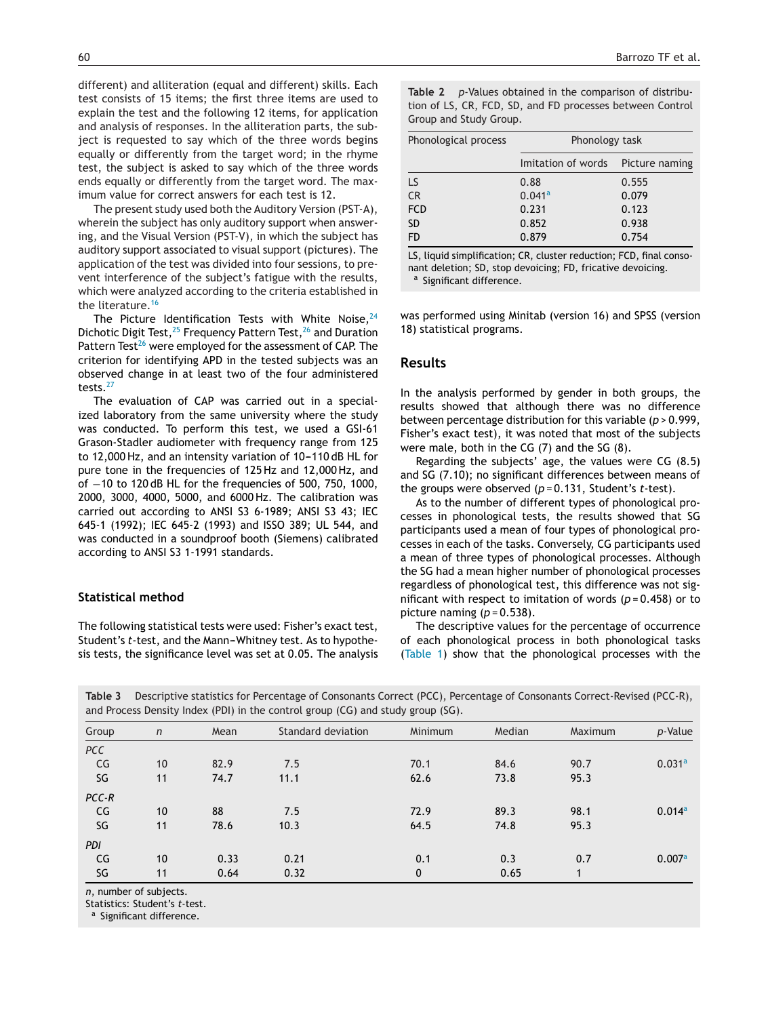<span id="page-4-0"></span>different) and alliteration (equal and different) skills. Each test consists of 15 items; the first three items are used to explain the test and the following 12 items, for application and analysis of responses. In the alliteration parts, the subject is requested to say which of the three words begins equally or differently from the target word; in the rhyme test, the subject is asked to say which of the three words ends equally or differently from the target word. The maximum value for correct answers for each test is 12.

The present study used both the Auditory Version (PST-A), wherein the subject has only auditory support when answering, and the Visual Version (PST-V), in which the subject has auditory support associated to visual support (pictures). The application of the test was divided into four sessions, to prevent interference of the subject's fatigue with the results, which were analyzed according to the criteria established in the literature.[16](#page-8-0)

The Picture Identification Tests with White Noise,  $24$ Dichotic Digit Test,  $25$  Frequency Pattern Test,  $26$  and Duration Pattern Test<sup>[26](#page-8-0)</sup> were employed for the assessment of CAP. The criterion for identifying APD in the tested subjects was an observed change in at least two of the four administered tests.[27](#page-8-0)

The evaluation of CAP was carried out in a specialized laboratory from the same university where the study was conducted. To perform this test, we used a GSI-61 Grason-Stadler audiometer with frequency range from 125 to 12,000 Hz, and an intensity variation of 10-110 dB HL for pure tone in the frequencies of 125 Hz and 12,000 Hz, and of −10 to 120 dB HL for the frequencies of 500, 750, 1000, 2000, 3000, 4000, 5000, and 6000 Hz. The calibration was carried out according to ANSI S3 6-1989; ANSI S3 43; IEC 645-1 (1992); IEC 645-2 (1993) and ISSO 389; UL 544, and was conducted in a soundproof booth (Siemens) calibrated according to ANSI S3 1-1991 standards.

#### **Statistical method**

The following statistical tests were used: Fisher's exact test, Student's *t*-test, and the Mann-Whitney test. As to hypothesis tests, the significance level was set at 0.05. The analysis **Table 2** *p*-Values obtained in the comparison of distribution of LS, CR, FCD, SD, and FD processes between Control Group and Study Group.

| Phonological process | Phonology task     |                |  |  |  |
|----------------------|--------------------|----------------|--|--|--|
|                      | Imitation of words | Picture naming |  |  |  |
| LS                   | 0.88               | 0.555          |  |  |  |
| <b>CR</b>            | 0.041a             | 0.079          |  |  |  |
| <b>FCD</b>           | 0.231              | 0.123          |  |  |  |
| <b>SD</b>            | 0.852              | 0.938          |  |  |  |
| <b>FD</b>            | 0.879              | 0.754          |  |  |  |

LS, liquid simplification; CR, cluster reduction; FCD, final consonant deletion; SD, stop devoicing; FD, fricative devoicing. Significant difference.

was performed using Minitab (version 16) and SPSS (version 18) statistical programs.

#### **Results**

In the analysis performed by gender in both groups, the results showed that although there was no difference between percentage distribution for this variable (*p* > 0.999, Fisher's exact test), it was noted that most of the subjects were male, both in the CG (7) and the SG (8).

Regarding the subjects' age, the values were CG (8.5) and SG (7.10); no significant differences between means of the groups were observed (*p* = 0.131, Student's *t*-test).

As to the number of different types of phonological processes in phonological tests, the results showed that SG participants used a mean of four types of phonological processes in each of the tasks. Conversely, CG participants used a mean of three types of phonological processes. Although the SG had a mean higher number of phonological processes regardless of phonological test, this difference was not significant with respect to imitation of words (*p* = 0.458) or to picture naming (*p* = 0.538).

The descriptive values for the percentage of occurrence of each phonological process in both phonological tasks [\(Table](#page-3-0) 1) show that the phonological processes with the

| Table 3 Descriptive statistics for Percentage of Consonants Correct (PCC), Percentage of Consonants Correct-Revised (PCC-R), |
|------------------------------------------------------------------------------------------------------------------------------|
| and Process Density Index (PDI) in the control group (CG) and study group (SG).                                              |

| Group   | $\mathsf{n}$ | Mean | Standard deviation | <b>Minimum</b> | Median | Maximum | p-Value            |
|---------|--------------|------|--------------------|----------------|--------|---------|--------------------|
|         |              |      |                    |                |        |         |                    |
| PCC     |              |      |                    |                |        |         |                    |
| CG      | 10           | 82.9 | 7.5                | 70.1           | 84.6   | 90.7    | 0.031a             |
| SG      | 11           | 74.7 | 11.1               | 62.6           | 73.8   | 95.3    |                    |
| $PCC-R$ |              |      |                    |                |        |         |                    |
| CG      | 10           | 88   | 7.5                | 72.9           | 89.3   | 98.1    | 0.014a             |
| SG      | 11           | 78.6 | 10.3               | 64.5           | 74.8   | 95.3    |                    |
| PDI     |              |      |                    |                |        |         |                    |
| CG      | 10           | 0.33 | 0.21               | 0.1            | 0.3    | 0.7     | 0.007 <sup>a</sup> |
| SG      | 11           | 0.64 | 0.32               | $\mathbf 0$    | 0.65   |         |                    |

*n*, number of subjects.

Statistics: Student's *t*-test.

a Significant difference.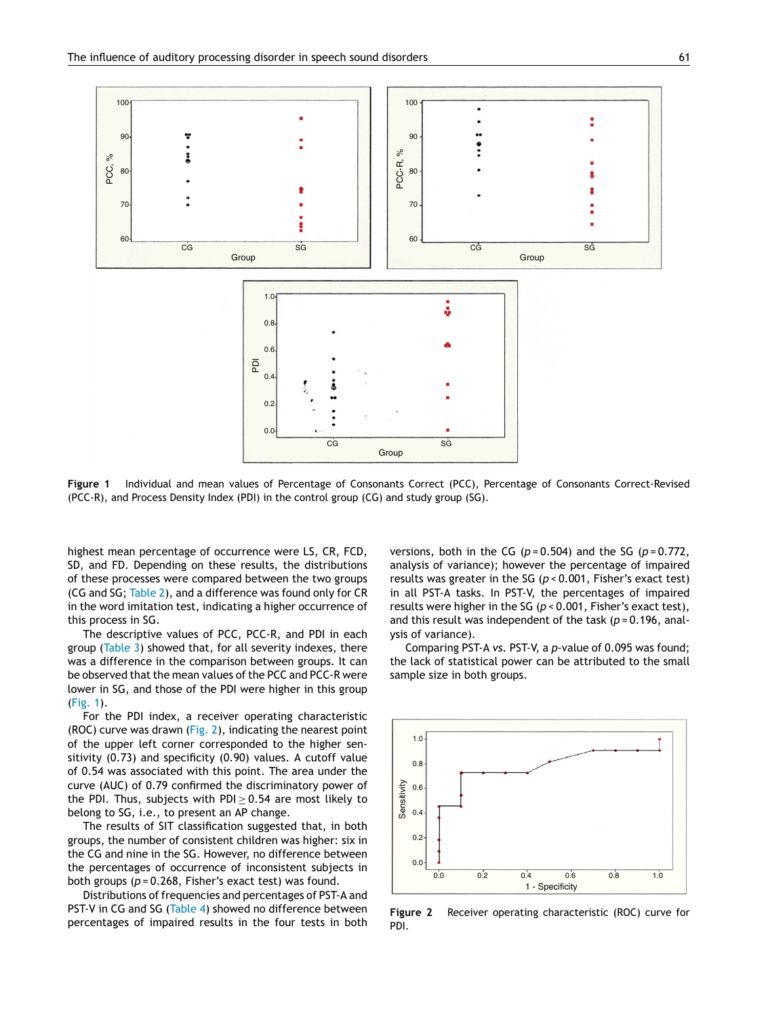

**Figure 1** Individual and mean values of Percentage of Consonants Correct (PCC), Percentage of Consonants Correct-Revised (PCC-R), and Process Density Index (PDI) in the control group (CG) and study group (SG).

highest mean percentage of occurrence were LS, CR, FCD, SD, and FD. Depending on these results, the distributions of these processes were compared between the two groups (CG and SG; [Table](#page-4-0) 2), and a difference was found only for CR in the word imitation test, indicating a higher occurrence of this process in SG.

The descriptive values of PCC, PCC-R, and PDI in each group [\(Table](#page-4-0) 3) showed that, for all severity indexes, there was a difference in the comparison between groups. It can be observed that the mean values of the PCC and PCC-R were lower in SG, and those of the PDI were higher in this group (Fig. 1).

For the PDI index, a receiver operating characteristic (ROC) curve was drawn (Fig. 2), indicating the nearest point of the upper left corner corresponded to the higher sensitivity (0.73) and specificity (0.90) values. A cutoff value of 0.54 was associated with this point. The area under the curve (AUC) of 0.79 confirmed the discriminatory power of the PDI. Thus, subjects with PDI  $> 0.54$  are most likely to belong to SG, i.e., to present an AP change.

The results of SIT classification suggested that, in both groups, the number of consistent children was higher: six in the CG and nine in the SG. However, no difference between the percentages of occurrence of inconsistent subjects in both groups (*p* = 0.268, Fisher's exact test) was found.

Distributions of frequencies and percentages of PST-A and PST-V in CG and SG [\(Table](#page-6-0) 4) showed no difference between percentages of impaired results in the four tests in both versions, both in the CG (*p* = 0.504) and the SG (*p* = 0.772, analysis of variance); however the percentage of impaired results was greater in the SG (*p* < 0.001, Fisher's exact test) in all PST-A tasks. In PST-V, the percentages of impaired results were higher in the SG (*p* < 0.001, Fisher's exact test), and this result was independent of the task (*p* = 0.196, analysis of variance).

Comparing PST-A *vs.* PST-V, a *p*-value of 0.095 was found; the lack of statistical power can be attributed to the small sample size in both groups.



**Figure 2** Receiver operating characteristic (ROC) curve for PDI.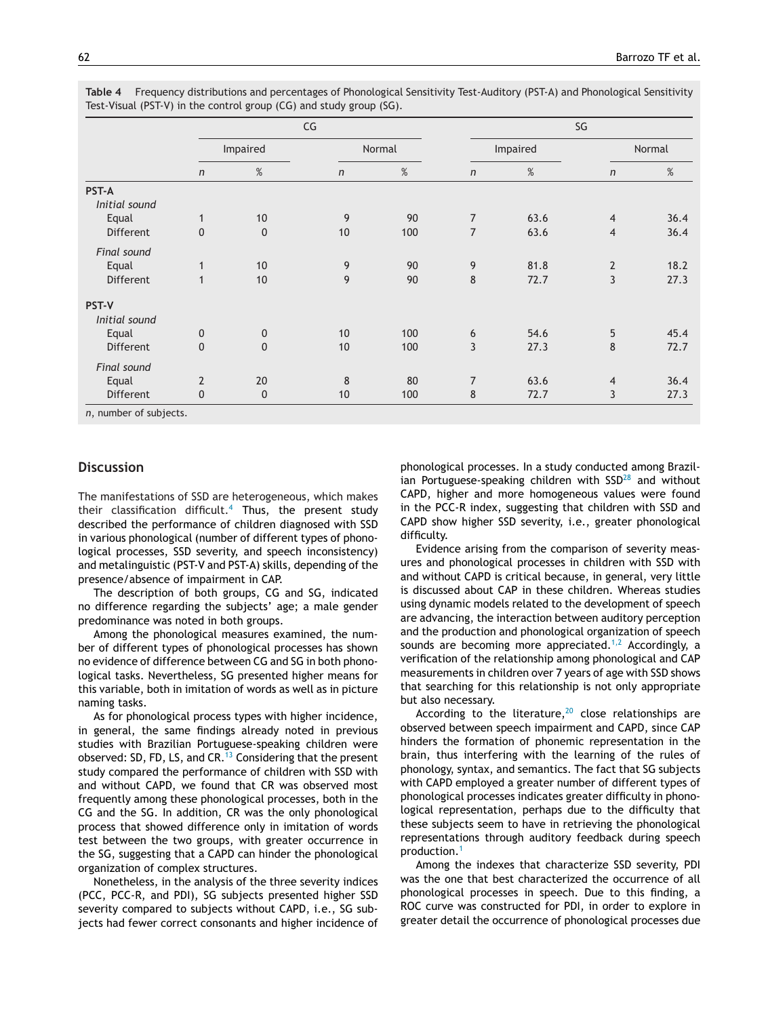|                  |                |           | $\mathsf{CG}\xspace$ | SG  |                |          |                |        |  |
|------------------|----------------|-----------|----------------------|-----|----------------|----------|----------------|--------|--|
|                  |                | Impaired  | Normal               |     |                | Impaired |                | Normal |  |
|                  | $\sqrt{n}$     | $\%$      | $\sqrt{n}$           | %   | $\sqrt{n}$     | $\%$     | $\sqrt{n}$     | $\%$   |  |
| PST-A            |                |           |                      |     |                |          |                |        |  |
| Initial sound    |                |           |                      |     |                |          |                |        |  |
| Equal            | $\mathbf{1}$   | 10        | 9                    | 90  | $\overline{7}$ | 63.6     | $\overline{4}$ | 36.4   |  |
| <b>Different</b> | $\pmb{0}$      | $\pmb{0}$ | 10                   | 100 | $\overline{7}$ | 63.6     | $\overline{4}$ | 36.4   |  |
| Final sound      |                |           |                      |     |                |          |                |        |  |
| Equal            | $\mathbf{1}$   | $10$      | 9                    | 90  | 9              | 81.8     | $\overline{2}$ | 18.2   |  |
| <b>Different</b> | $\mathbf{1}$   | 10        | 9                    | 90  | 8              | 72.7     | 3              | 27.3   |  |
| <b>PST-V</b>     |                |           |                      |     |                |          |                |        |  |
| Initial sound    |                |           |                      |     |                |          |                |        |  |
| Equal            | $\pmb{0}$      | 0         | 10                   | 100 | 6              | 54.6     | 5              | 45.4   |  |
| <b>Different</b> | $\pmb{0}$      | 0         | 10                   | 100 | $\overline{3}$ | 27.3     | 8              | 72.7   |  |
| Final sound      |                |           |                      |     |                |          |                |        |  |
| Equal            | $\overline{2}$ | 20        | 8                    | 80  | $\overline{7}$ | 63.6     | $\overline{4}$ | 36.4   |  |
| <b>Different</b> | $\mathbf 0$    | 0         | 10                   | 100 | 8              | 72.7     | 3              | 27.3   |  |

<span id="page-6-0"></span>**Table 4** Frequency distributions and percentages of Phonological Sensitivity Test-Auditory (PST-A) and Phonological Sensitivity Test-Visual (PST-V) in the control group (CG) and study group (SG).

*n*, number of subjects.

## **Discussion**

The manifestations of SSD are heterogeneous, which makes their classification difficult.<sup>[4](#page-7-0)</sup> Thus, the present study described the performance of children diagnosed with SSD in various phonological (number of different types of phonological processes, SSD severity, and speech inconsistency) and metalinguistic (PST-V and PST-A) skills, depending of the presence/absence of impairment in CAP.

The description of both groups, CG and SG, indicated no difference regarding the subjects' age; a male gender predominance was noted in both groups.

Among the phonological measures examined, the number of different types of phonological processes has shown no evidence of difference between CG and SG in both phonological tasks. Nevertheless, SG presented higher means for this variable, both in imitation of words as well as in picture naming tasks.

As for phonological process types with higher incidence, in general, the same findings already noted in previous studies with Brazilian Portuguese-speaking children were observed: SD, FD, LS, and CR.<sup>[13](#page-8-0)</sup> Considering that the present study compared the performance of children with SSD with and without CAPD, we found that CR was observed most frequently among these phonological processes, both in the CG and the SG. In addition, CR was the only phonological process that showed difference only in imitation of words test between the two groups, with greater occurrence in the SG, suggesting that a CAPD can hinder the phonological organization of complex structures.

Nonetheless, in the analysis of the three severity indices (PCC, PCC-R, and PDI), SG subjects presented higher SSD severity compared to subjects without CAPD, i.e., SG subjects had fewer correct consonants and higher incidence of phonological processes. In a study conducted among Brazilian Portuguese-speaking children with  $SSD^{28}$  $SSD^{28}$  $SSD^{28}$  and without CAPD, higher and more homogeneous values were found in the PCC-R index, suggesting that children with SSD and CAPD show higher SSD severity, i.e., greater phonological difficulty.

Evidence arising from the comparison of severity measures and phonological processes in children with SSD with and without CAPD is critical because, in general, very little is discussed about CAP in these children. Whereas studies using dynamic models related to the development of speech are advancing, the interaction between auditory perception and the production and phonological organization of speech sounds are becoming more appreciated.<sup>[1,2](#page-7-0)</sup> Accordingly, a verification of the relationship among phonological and CAP measurements in children over 7 years of age with SSD shows that searching for this relationship is not only appropriate but also necessary.

According to the literature,  $20$  close relationships are observed between speech impairment and CAPD, since CAP hinders the formation of phonemic representation in the brain, thus interfering with the learning of the rules of phonology, syntax, and semantics. The fact that SG subjects with CAPD employed a greater number of different types of phonological processes indicates greater difficulty in phonological representation, perhaps due to the difficulty that these subjects seem to have in retrieving the phonological representations through auditory feedback during speech production.[1](#page-7-0)

Among the indexes that characterize SSD severity, PDI was the one that best characterized the occurrence of all phonological processes in speech. Due to this finding, a ROC curve was constructed for PDI, in order to explore in greater detail the occurrence of phonological processes due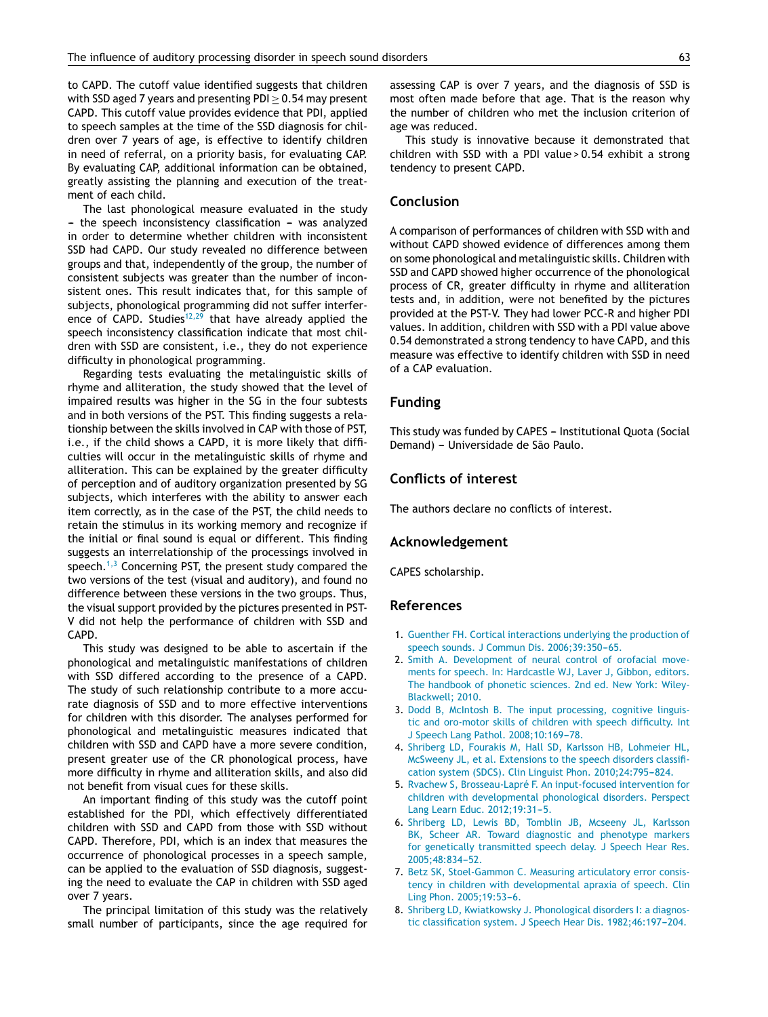<span id="page-7-0"></span>to CAPD. The cutoff value identified suggests that children with SSD aged 7 years and presenting PDI  $> 0.54$  may present CAPD. This cutoff value provides evidence that PDI, applied to speech samples at the time of the SSD diagnosis for children over 7 years of age, is effective to identify children in need of referral, on a priority basis, for evaluating CAP. By evaluating CAP, additional information can be obtained, greatly assisting the planning and execution of the treatment of each child.

The last phonological measure evaluated in the study - the speech inconsistency classification - was analyzed in order to determine whether children with inconsistent SSD had CAPD. Our study revealed no difference between groups and that, independently of the group, the number of consistent subjects was greater than the number of inconsistent ones. This result indicates that, for this sample of subjects, phonological programming did not suffer interfer-ence of CAPD. Studies<sup>[12,29](#page-8-0)</sup> that have already applied the speech inconsistency classification indicate that most children with SSD are consistent, i.e., they do not experience difficulty in phonological programming.

Regarding tests evaluating the metalinguistic skills of rhyme and alliteration, the study showed that the level of impaired results was higher in the SG in the four subtests and in both versions of the PST. This finding suggests a relationship between the skills involved in CAP with those of PST, i.e., if the child shows a CAPD, it is more likely that difficulties will occur in the metalinguistic skills of rhyme and alliteration. This can be explained by the greater difficulty of perception and of auditory organization presented by SG subjects, which interferes with the ability to answer each item correctly, as in the case of the PST, the child needs to retain the stimulus in its working memory and recognize if the initial or final sound is equal or different. This finding suggests an interrelationship of the processings involved in speech. $1,3$  Concerning PST, the present study compared the two versions of the test (visual and auditory), and found no difference between these versions in the two groups. Thus, the visual support provided by the pictures presented in PST-V did not help the performance of children with SSD and CAPD.

This study was designed to be able to ascertain if the phonological and metalinguistic manifestations of children with SSD differed according to the presence of a CAPD. The study of such relationship contribute to a more accurate diagnosis of SSD and to more effective interventions for children with this disorder. The analyses performed for phonological and metalinguistic measures indicated that children with SSD and CAPD have a more severe condition, present greater use of the CR phonological process, have more difficulty in rhyme and alliteration skills, and also did not benefit from visual cues for these skills.

An important finding of this study was the cutoff point established for the PDI, which effectively differentiated children with SSD and CAPD from those with SSD without CAPD. Therefore, PDI, which is an index that measures the occurrence of phonological processes in a speech sample, can be applied to the evaluation of SSD diagnosis, suggesting the need to evaluate the CAP in children with SSD aged over 7 years.

The principal limitation of this study was the relatively small number of participants, since the age required for assessing CAP is over 7 years, and the diagnosis of SSD is most often made before that age. That is the reason why the number of children who met the inclusion criterion of age was reduced.

This study is innovative because it demonstrated that children with SSD with a PDI value > 0.54 exhibit a strong tendency to present CAPD.

## **Conclusion**

A comparison of performances of children with SSD with and without CAPD showed evidence of differences among them on some phonological and metalinguistic skills. Children with SSD and CAPD showed higher occurrence of the phonological process of CR, greater difficulty in rhyme and alliteration tests and, in addition, were not benefited by the pictures provided at the PST-V. They had lower PCC-R and higher PDI values. In addition, children with SSD with a PDI value above 0.54 demonstrated a strong tendency to have CAPD, and this measure was effective to identify children with SSD in need of a CAP evaluation.

### **Funding**

This study was funded by CAPES - Institutional Quota (Social Demand) - Universidade de São Paulo.

## **Conflicts of interest**

The authors declare no conflicts of interest.

#### **Acknowledgement**

CAPES scholarship.

## **References**

- 1. [Guenther](http://refhub.elsevier.com/S1808-8694(15)00177-9/sbref0150) [FH.](http://refhub.elsevier.com/S1808-8694(15)00177-9/sbref0150) [Cortical](http://refhub.elsevier.com/S1808-8694(15)00177-9/sbref0150) [interactions](http://refhub.elsevier.com/S1808-8694(15)00177-9/sbref0150) [underlying](http://refhub.elsevier.com/S1808-8694(15)00177-9/sbref0150) [the](http://refhub.elsevier.com/S1808-8694(15)00177-9/sbref0150) [production](http://refhub.elsevier.com/S1808-8694(15)00177-9/sbref0150) [of](http://refhub.elsevier.com/S1808-8694(15)00177-9/sbref0150) [speech](http://refhub.elsevier.com/S1808-8694(15)00177-9/sbref0150) [sounds.](http://refhub.elsevier.com/S1808-8694(15)00177-9/sbref0150) [J](http://refhub.elsevier.com/S1808-8694(15)00177-9/sbref0150) [Commun](http://refhub.elsevier.com/S1808-8694(15)00177-9/sbref0150) [Dis.](http://refhub.elsevier.com/S1808-8694(15)00177-9/sbref0150) 2006;39:350-65.
- 2. [Smith](http://refhub.elsevier.com/S1808-8694(15)00177-9/sbref0155) [A.](http://refhub.elsevier.com/S1808-8694(15)00177-9/sbref0155) [Development](http://refhub.elsevier.com/S1808-8694(15)00177-9/sbref0155) [of](http://refhub.elsevier.com/S1808-8694(15)00177-9/sbref0155) [neural](http://refhub.elsevier.com/S1808-8694(15)00177-9/sbref0155) [control](http://refhub.elsevier.com/S1808-8694(15)00177-9/sbref0155) [of](http://refhub.elsevier.com/S1808-8694(15)00177-9/sbref0155) [orofacial](http://refhub.elsevier.com/S1808-8694(15)00177-9/sbref0155) [move](http://refhub.elsevier.com/S1808-8694(15)00177-9/sbref0155)[ments](http://refhub.elsevier.com/S1808-8694(15)00177-9/sbref0155) [for](http://refhub.elsevier.com/S1808-8694(15)00177-9/sbref0155) [speech.](http://refhub.elsevier.com/S1808-8694(15)00177-9/sbref0155) [In:](http://refhub.elsevier.com/S1808-8694(15)00177-9/sbref0155) [Hardcastle](http://refhub.elsevier.com/S1808-8694(15)00177-9/sbref0155) [WJ,](http://refhub.elsevier.com/S1808-8694(15)00177-9/sbref0155) [Laver](http://refhub.elsevier.com/S1808-8694(15)00177-9/sbref0155) [J,](http://refhub.elsevier.com/S1808-8694(15)00177-9/sbref0155) [Gibbon,](http://refhub.elsevier.com/S1808-8694(15)00177-9/sbref0155) [editors.](http://refhub.elsevier.com/S1808-8694(15)00177-9/sbref0155) [The](http://refhub.elsevier.com/S1808-8694(15)00177-9/sbref0155) [handbook](http://refhub.elsevier.com/S1808-8694(15)00177-9/sbref0155) [of](http://refhub.elsevier.com/S1808-8694(15)00177-9/sbref0155) [phonetic](http://refhub.elsevier.com/S1808-8694(15)00177-9/sbref0155) [sciences.](http://refhub.elsevier.com/S1808-8694(15)00177-9/sbref0155) [2nd](http://refhub.elsevier.com/S1808-8694(15)00177-9/sbref0155) [ed.](http://refhub.elsevier.com/S1808-8694(15)00177-9/sbref0155) [New](http://refhub.elsevier.com/S1808-8694(15)00177-9/sbref0155) [York:](http://refhub.elsevier.com/S1808-8694(15)00177-9/sbref0155) [Wiley-](http://refhub.elsevier.com/S1808-8694(15)00177-9/sbref0155)[Blackwell;](http://refhub.elsevier.com/S1808-8694(15)00177-9/sbref0155) [2010.](http://refhub.elsevier.com/S1808-8694(15)00177-9/sbref0155)
- 3. [Dodd](http://refhub.elsevier.com/S1808-8694(15)00177-9/sbref0160) [B,](http://refhub.elsevier.com/S1808-8694(15)00177-9/sbref0160) [McIntosh](http://refhub.elsevier.com/S1808-8694(15)00177-9/sbref0160) [B.](http://refhub.elsevier.com/S1808-8694(15)00177-9/sbref0160) [The](http://refhub.elsevier.com/S1808-8694(15)00177-9/sbref0160) [input](http://refhub.elsevier.com/S1808-8694(15)00177-9/sbref0160) [processing,](http://refhub.elsevier.com/S1808-8694(15)00177-9/sbref0160) [cognitive](http://refhub.elsevier.com/S1808-8694(15)00177-9/sbref0160) [linguis](http://refhub.elsevier.com/S1808-8694(15)00177-9/sbref0160)[tic](http://refhub.elsevier.com/S1808-8694(15)00177-9/sbref0160) [and](http://refhub.elsevier.com/S1808-8694(15)00177-9/sbref0160) [oro-motor](http://refhub.elsevier.com/S1808-8694(15)00177-9/sbref0160) [skills](http://refhub.elsevier.com/S1808-8694(15)00177-9/sbref0160) [of](http://refhub.elsevier.com/S1808-8694(15)00177-9/sbref0160) [children](http://refhub.elsevier.com/S1808-8694(15)00177-9/sbref0160) [with](http://refhub.elsevier.com/S1808-8694(15)00177-9/sbref0160) [speech](http://refhub.elsevier.com/S1808-8694(15)00177-9/sbref0160) [difficulty.](http://refhub.elsevier.com/S1808-8694(15)00177-9/sbref0160) [Int](http://refhub.elsevier.com/S1808-8694(15)00177-9/sbref0160) [J](http://refhub.elsevier.com/S1808-8694(15)00177-9/sbref0160) [Speech](http://refhub.elsevier.com/S1808-8694(15)00177-9/sbref0160) [Lang](http://refhub.elsevier.com/S1808-8694(15)00177-9/sbref0160) [Pathol.](http://refhub.elsevier.com/S1808-8694(15)00177-9/sbref0160) [2008;10:169-](http://refhub.elsevier.com/S1808-8694(15)00177-9/sbref0160)[78.](http://refhub.elsevier.com/S1808-8694(15)00177-9/sbref0160)
- 4. [Shriberg](http://refhub.elsevier.com/S1808-8694(15)00177-9/sbref0165) [LD,](http://refhub.elsevier.com/S1808-8694(15)00177-9/sbref0165) [Fourakis](http://refhub.elsevier.com/S1808-8694(15)00177-9/sbref0165) [M,](http://refhub.elsevier.com/S1808-8694(15)00177-9/sbref0165) [Hall](http://refhub.elsevier.com/S1808-8694(15)00177-9/sbref0165) [SD,](http://refhub.elsevier.com/S1808-8694(15)00177-9/sbref0165) [Karlsson](http://refhub.elsevier.com/S1808-8694(15)00177-9/sbref0165) [HB,](http://refhub.elsevier.com/S1808-8694(15)00177-9/sbref0165) [Lohmeier](http://refhub.elsevier.com/S1808-8694(15)00177-9/sbref0165) [HL,](http://refhub.elsevier.com/S1808-8694(15)00177-9/sbref0165) [McSweeny](http://refhub.elsevier.com/S1808-8694(15)00177-9/sbref0165) [JL,](http://refhub.elsevier.com/S1808-8694(15)00177-9/sbref0165) [et](http://refhub.elsevier.com/S1808-8694(15)00177-9/sbref0165) [al.](http://refhub.elsevier.com/S1808-8694(15)00177-9/sbref0165) [Extensions](http://refhub.elsevier.com/S1808-8694(15)00177-9/sbref0165) [to](http://refhub.elsevier.com/S1808-8694(15)00177-9/sbref0165) [the](http://refhub.elsevier.com/S1808-8694(15)00177-9/sbref0165) [speech](http://refhub.elsevier.com/S1808-8694(15)00177-9/sbref0165) [disorders](http://refhub.elsevier.com/S1808-8694(15)00177-9/sbref0165) [classifi](http://refhub.elsevier.com/S1808-8694(15)00177-9/sbref0165)[cation](http://refhub.elsevier.com/S1808-8694(15)00177-9/sbref0165) [system](http://refhub.elsevier.com/S1808-8694(15)00177-9/sbref0165) [\(SDCS\).](http://refhub.elsevier.com/S1808-8694(15)00177-9/sbref0165) [Clin](http://refhub.elsevier.com/S1808-8694(15)00177-9/sbref0165) [Linguist](http://refhub.elsevier.com/S1808-8694(15)00177-9/sbref0165) [Phon.](http://refhub.elsevier.com/S1808-8694(15)00177-9/sbref0165) [2010;24:795](http://refhub.elsevier.com/S1808-8694(15)00177-9/sbref0165)-[824.](http://refhub.elsevier.com/S1808-8694(15)00177-9/sbref0165)
- 5. [Rvachew](http://refhub.elsevier.com/S1808-8694(15)00177-9/sbref0170) [S,](http://refhub.elsevier.com/S1808-8694(15)00177-9/sbref0170) [Brosseau-Lapré](http://refhub.elsevier.com/S1808-8694(15)00177-9/sbref0170) [F.](http://refhub.elsevier.com/S1808-8694(15)00177-9/sbref0170) [An](http://refhub.elsevier.com/S1808-8694(15)00177-9/sbref0170) [input-focused](http://refhub.elsevier.com/S1808-8694(15)00177-9/sbref0170) [intervention](http://refhub.elsevier.com/S1808-8694(15)00177-9/sbref0170) [for](http://refhub.elsevier.com/S1808-8694(15)00177-9/sbref0170) [children](http://refhub.elsevier.com/S1808-8694(15)00177-9/sbref0170) [with](http://refhub.elsevier.com/S1808-8694(15)00177-9/sbref0170) [developmental](http://refhub.elsevier.com/S1808-8694(15)00177-9/sbref0170) [phonological](http://refhub.elsevier.com/S1808-8694(15)00177-9/sbref0170) [disorders.](http://refhub.elsevier.com/S1808-8694(15)00177-9/sbref0170) [Perspect](http://refhub.elsevier.com/S1808-8694(15)00177-9/sbref0170) [Lang](http://refhub.elsevier.com/S1808-8694(15)00177-9/sbref0170) [Learn](http://refhub.elsevier.com/S1808-8694(15)00177-9/sbref0170) [Educ.](http://refhub.elsevier.com/S1808-8694(15)00177-9/sbref0170) [2012;19:31](http://refhub.elsevier.com/S1808-8694(15)00177-9/sbref0170)-[5.](http://refhub.elsevier.com/S1808-8694(15)00177-9/sbref0170)
- 6. [Shriberg](http://refhub.elsevier.com/S1808-8694(15)00177-9/sbref0175) [LD,](http://refhub.elsevier.com/S1808-8694(15)00177-9/sbref0175) [Lewis](http://refhub.elsevier.com/S1808-8694(15)00177-9/sbref0175) [BD,](http://refhub.elsevier.com/S1808-8694(15)00177-9/sbref0175) [Tomblin](http://refhub.elsevier.com/S1808-8694(15)00177-9/sbref0175) [JB,](http://refhub.elsevier.com/S1808-8694(15)00177-9/sbref0175) [Mcseeny](http://refhub.elsevier.com/S1808-8694(15)00177-9/sbref0175) [JL,](http://refhub.elsevier.com/S1808-8694(15)00177-9/sbref0175) [Karlsson](http://refhub.elsevier.com/S1808-8694(15)00177-9/sbref0175) [BK,](http://refhub.elsevier.com/S1808-8694(15)00177-9/sbref0175) [Scheer](http://refhub.elsevier.com/S1808-8694(15)00177-9/sbref0175) [AR.](http://refhub.elsevier.com/S1808-8694(15)00177-9/sbref0175) [Toward](http://refhub.elsevier.com/S1808-8694(15)00177-9/sbref0175) [diagnostic](http://refhub.elsevier.com/S1808-8694(15)00177-9/sbref0175) [and](http://refhub.elsevier.com/S1808-8694(15)00177-9/sbref0175) [phenotype](http://refhub.elsevier.com/S1808-8694(15)00177-9/sbref0175) [markers](http://refhub.elsevier.com/S1808-8694(15)00177-9/sbref0175) [for](http://refhub.elsevier.com/S1808-8694(15)00177-9/sbref0175) [genetically](http://refhub.elsevier.com/S1808-8694(15)00177-9/sbref0175) [transmitted](http://refhub.elsevier.com/S1808-8694(15)00177-9/sbref0175) [speech](http://refhub.elsevier.com/S1808-8694(15)00177-9/sbref0175) [delay.](http://refhub.elsevier.com/S1808-8694(15)00177-9/sbref0175) [J](http://refhub.elsevier.com/S1808-8694(15)00177-9/sbref0175) [Speech](http://refhub.elsevier.com/S1808-8694(15)00177-9/sbref0175) [Hear](http://refhub.elsevier.com/S1808-8694(15)00177-9/sbref0175) [Res.](http://refhub.elsevier.com/S1808-8694(15)00177-9/sbref0175) 2005;48:834-52.
- 7. [Betz](http://refhub.elsevier.com/S1808-8694(15)00177-9/sbref0180) [SK,](http://refhub.elsevier.com/S1808-8694(15)00177-9/sbref0180) [Stoel-Gammon](http://refhub.elsevier.com/S1808-8694(15)00177-9/sbref0180) [C.](http://refhub.elsevier.com/S1808-8694(15)00177-9/sbref0180) [Measuring](http://refhub.elsevier.com/S1808-8694(15)00177-9/sbref0180) [articulatory](http://refhub.elsevier.com/S1808-8694(15)00177-9/sbref0180) [error](http://refhub.elsevier.com/S1808-8694(15)00177-9/sbref0180) [consis](http://refhub.elsevier.com/S1808-8694(15)00177-9/sbref0180)[tency](http://refhub.elsevier.com/S1808-8694(15)00177-9/sbref0180) [in](http://refhub.elsevier.com/S1808-8694(15)00177-9/sbref0180) [children](http://refhub.elsevier.com/S1808-8694(15)00177-9/sbref0180) [with](http://refhub.elsevier.com/S1808-8694(15)00177-9/sbref0180) [developmental](http://refhub.elsevier.com/S1808-8694(15)00177-9/sbref0180) [apraxia](http://refhub.elsevier.com/S1808-8694(15)00177-9/sbref0180) [of](http://refhub.elsevier.com/S1808-8694(15)00177-9/sbref0180) [speech.](http://refhub.elsevier.com/S1808-8694(15)00177-9/sbref0180) [Clin](http://refhub.elsevier.com/S1808-8694(15)00177-9/sbref0180) [Ling](http://refhub.elsevier.com/S1808-8694(15)00177-9/sbref0180) [Phon.](http://refhub.elsevier.com/S1808-8694(15)00177-9/sbref0180) 2005;19:53-6.
- 8. [Shriberg](http://refhub.elsevier.com/S1808-8694(15)00177-9/sbref0185) [LD,](http://refhub.elsevier.com/S1808-8694(15)00177-9/sbref0185) [Kwiatkowsky](http://refhub.elsevier.com/S1808-8694(15)00177-9/sbref0185) [J.](http://refhub.elsevier.com/S1808-8694(15)00177-9/sbref0185) [Phonological](http://refhub.elsevier.com/S1808-8694(15)00177-9/sbref0185) [disorders](http://refhub.elsevier.com/S1808-8694(15)00177-9/sbref0185) [I:](http://refhub.elsevier.com/S1808-8694(15)00177-9/sbref0185) [a](http://refhub.elsevier.com/S1808-8694(15)00177-9/sbref0185) [diagnos](http://refhub.elsevier.com/S1808-8694(15)00177-9/sbref0185)[tic](http://refhub.elsevier.com/S1808-8694(15)00177-9/sbref0185) [classification](http://refhub.elsevier.com/S1808-8694(15)00177-9/sbref0185) [system.](http://refhub.elsevier.com/S1808-8694(15)00177-9/sbref0185) [J](http://refhub.elsevier.com/S1808-8694(15)00177-9/sbref0185) [Speech](http://refhub.elsevier.com/S1808-8694(15)00177-9/sbref0185) [Hear](http://refhub.elsevier.com/S1808-8694(15)00177-9/sbref0185) [Dis.](http://refhub.elsevier.com/S1808-8694(15)00177-9/sbref0185) 1982;46:197-204.